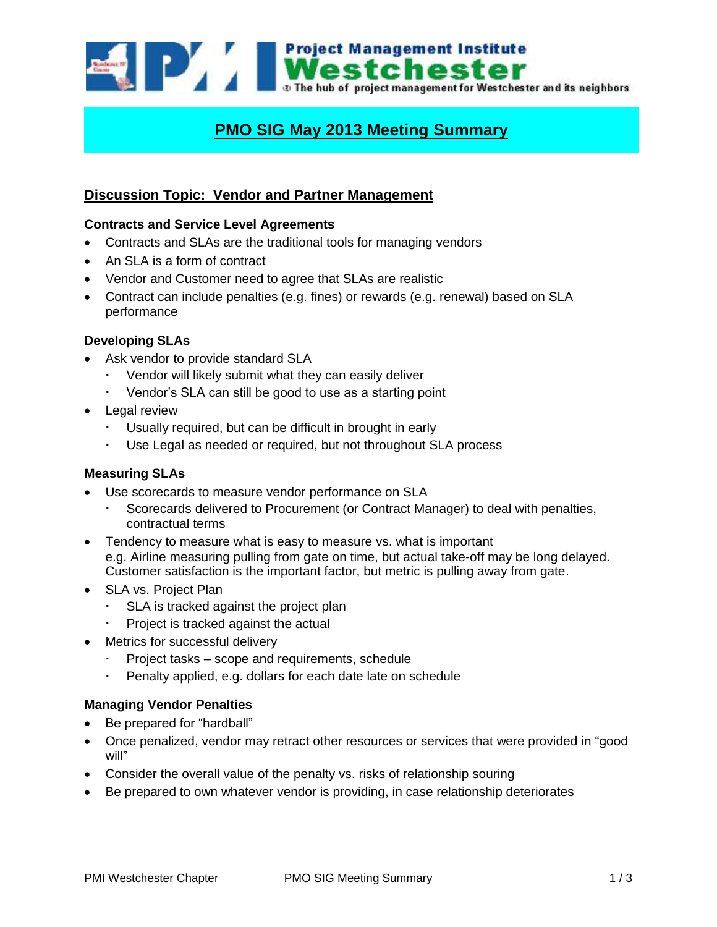

# **PMO SIG May 2013 Meeting Summary**

# **Discussion Topic: Vendor and Partner Management**

#### **Contracts and Service Level Agreements**

- Contracts and SLAs are the traditional tools for managing vendors
- An SLA is a form of contract
- Vendor and Customer need to agree that SLAs are realistic
- Contract can include penalties (e.g. fines) or rewards (e.g. renewal) based on SLA performance

#### **Developing SLAs**

- Ask vendor to provide standard SLA
	- Vendor will likely submit what they can easily deliver
	- Vendor's SLA can still be good to use as a starting point
- Legal review
	- Usually required, but can be difficult in brought in early
	- Use Legal as needed or required, but not throughout SLA process

#### **Measuring SLAs**

- Use scorecards to measure vendor performance on SLA
	- Scorecards delivered to Procurement (or Contract Manager) to deal with penalties, contractual terms
- Tendency to measure what is easy to measure vs. what is important e.g. Airline measuring pulling from gate on time, but actual take-off may be long delayed. Customer satisfaction is the important factor, but metric is pulling away from gate.
- SLA vs. Project Plan
	- SLA is tracked against the project plan
	- Project is tracked against the actual
- Metrics for successful delivery
	- Project tasks scope and requirements, schedule
	- Penalty applied, e.g. dollars for each date late on schedule

#### **Managing Vendor Penalties**

- Be prepared for "hardball"
- Once penalized, vendor may retract other resources or services that were provided in "good will"
- Consider the overall value of the penalty vs. risks of relationship souring
- Be prepared to own whatever vendor is providing, in case relationship deteriorates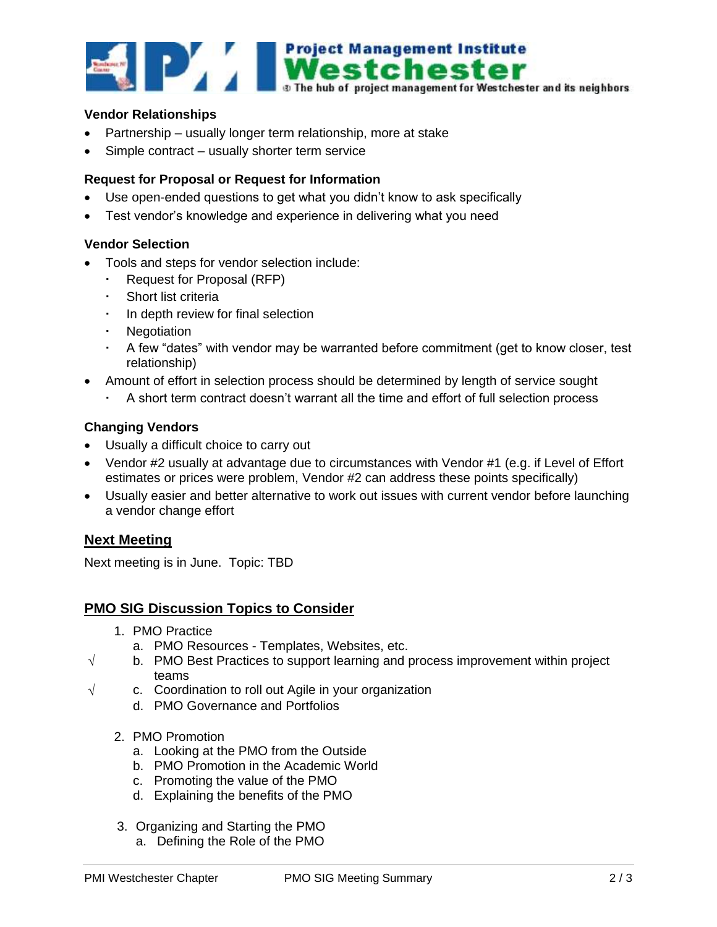

#### **Vendor Relationships**

- Partnership usually longer term relationship, more at stake
- Simple contract usually shorter term service

### **Request for Proposal or Request for Information**

- Use open-ended questions to get what you didn't know to ask specifically
- Test vendor's knowledge and experience in delivering what you need

#### **Vendor Selection**

- Tools and steps for vendor selection include:
	- Request for Proposal (RFP)
	- Short list criteria
	- In depth review for final selection
	- Negotiation
	- A few "dates" with vendor may be warranted before commitment (get to know closer, test relationship)
	- Amount of effort in selection process should be determined by length of service sought
		- A short term contract doesn't warrant all the time and effort of full selection process

#### **Changing Vendors**

- Usually a difficult choice to carry out
- Vendor #2 usually at advantage due to circumstances with Vendor #1 (e.g. if Level of Effort estimates or prices were problem, Vendor #2 can address these points specifically)
- Usually easier and better alternative to work out issues with current vendor before launching a vendor change effort

# **Next Meeting**

Next meeting is in June. Topic: TBD

# **PMO SIG Discussion Topics to Consider**

- 1. PMO Practice
	- a. PMO Resources Templates, Websites, etc.
- $\sqrt{\phantom{a}}$  b. PMO Best Practices to support learning and process improvement within project teams
- $\sqrt{ }$  c. Coordination to roll out Agile in your organization
	- d. PMO Governance and Portfolios
	- 2. PMO Promotion
		- a. Looking at the PMO from the Outside
		- b. PMO Promotion in the Academic World
		- c. Promoting the value of the PMO
		- d. Explaining the benefits of the PMO
	- 3. Organizing and Starting the PMO
		- a. Defining the Role of the PMO